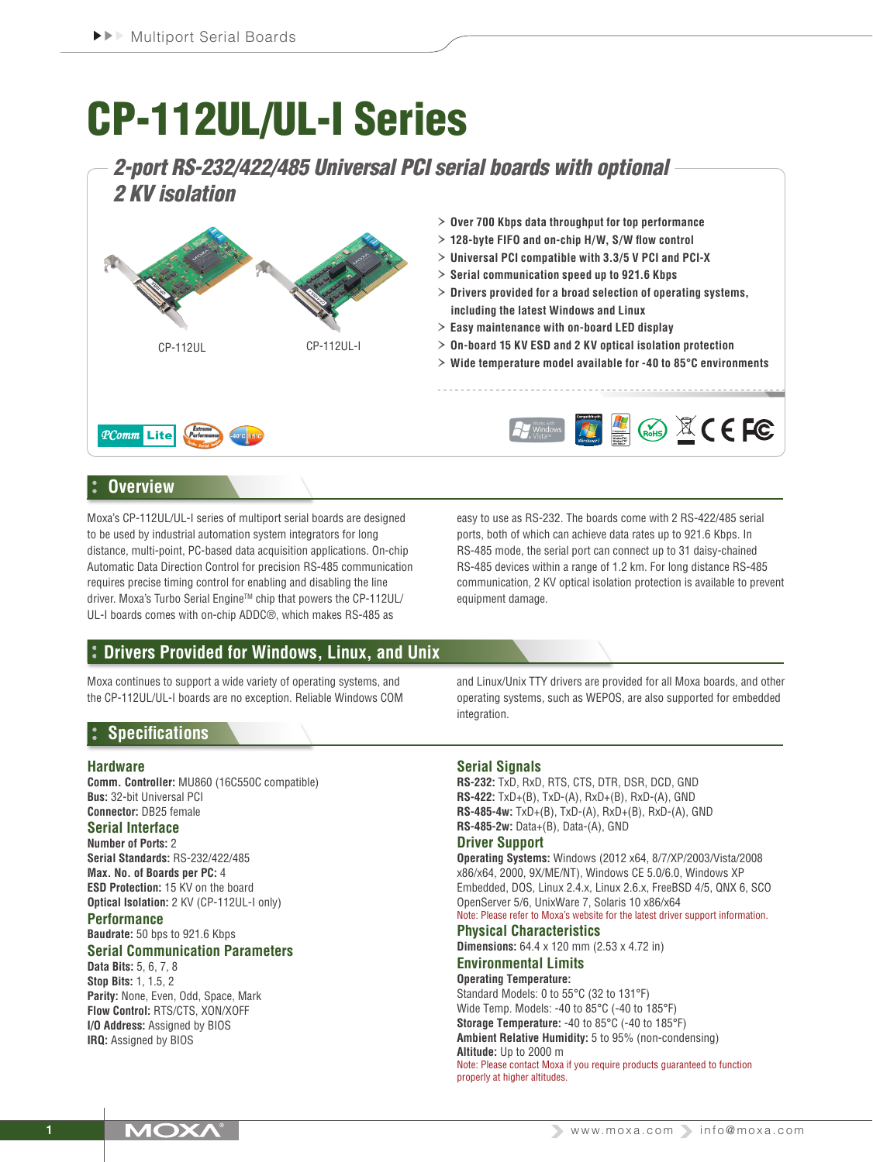# CP-112UL/UL-I Series

# *2-port RS-232/422/485 Universal PCI serial boards with optional 2 KV isolation*



# **Overview**

Moxa's CP-112UL/UL-I series of multiport serial boards are designed to be used by industrial automation system integrators for long distance, multi-point, PC-based data acquisition applications. On-chip Automatic Data Direction Control for precision RS-485 communication requires precise timing control for enabling and disabling the line driver. Moxa's Turbo Serial EngineTM chip that powers the CP-112UL/ UL-I boards comes with on-chip ADDC®, which makes RS-485 as

easy to use as RS-232. The boards come with 2 RS-422/485 serial ports, both of which can achieve data rates up to 921.6 Kbps. In RS-485 mode, the serial port can connect up to 31 daisy-chained RS-485 devices within a range of 1.2 km. For long distance RS-485 communication, 2 KV optical isolation protection is available to prevent equipment damage.

# **Drivers Provided for Windows, Linux, and Unix**

Moxa continues to support a wide variety of operating systems, and the CP-112UL/UL-I boards are no exception. Reliable Windows COM

# **Specifications**

#### **Hardware**

**Comm. Controller:** MU860 (16C550C compatible) **Bus:** 32-bit Universal PCI **Connector:** DB25 female

#### **Serial Interface**

**Number of Ports:** 2 **Serial Standards:** RS-232/422/485 **Max. No. of Boards per PC:** 4 **ESD Protection:** 15 KV on the board **Optical Isolation:** 2 KV (CP-112UL-I only)

#### **Performance Baudrate:** 50 bps to 921.6 Kbps

# **Serial Communication Parameters**

**Data Bits:** 5, 6, 7, 8 **Stop Bits:** 1, 1.5, 2 **Parity:** None, Even, Odd, Space, Mark **Flow Control:** RTS/CTS, XON/XOFF **I/O Address:** Assigned by BIOS **IRQ:** Assigned by BIOS

and Linux/Unix TTY drivers are provided for all Moxa boards, and other operating systems, such as WEPOS, are also supported for embedded integration.

### **Serial Signals**

**RS-232:** TxD, RxD, RTS, CTS, DTR, DSR, DCD, GND **RS-422:** TxD+(B), TxD-(A), RxD+(B), RxD-(A), GND **RS-485-4w:** TxD+(B), TxD-(A), RxD+(B), RxD-(A), GND **RS-485-2w:** Data+(B), Data-(A), GND

#### **Driver Support**

**Operating Systems:** Windows (2012 x64, 8/7/XP/2003/Vista/2008 x86/x64, 2000, 9X/ME/NT), Windows CE 5.0/6.0, Windows XP Embedded, DOS, Linux 2.4.x, Linux 2.6.x, FreeBSD 4/5, QNX 6, SCO OpenServer 5/6, UnixWare 7, Solaris 10 x86/x64 Note: Please refer to Moxa's website for the latest driver support information.

**Physical Characteristics Dimensions:** 64.4 x 120 mm (2.53 x 4.72 in) **Environmental Limits Operating Temperature:** Standard Models: 0 to 55°C (32 to 131°F) Wide Temp. Models: -40 to 85°C (-40 to 185°F) **Storage Temperature:** -40 to 85°C (-40 to 185°F) **Ambient Relative Humidity:** 5 to 95% (non-condensing) **Altitude:** Up to 2000 m Note: Please contact Moxa if you require products guaranteed to function properly at higher altitudes.